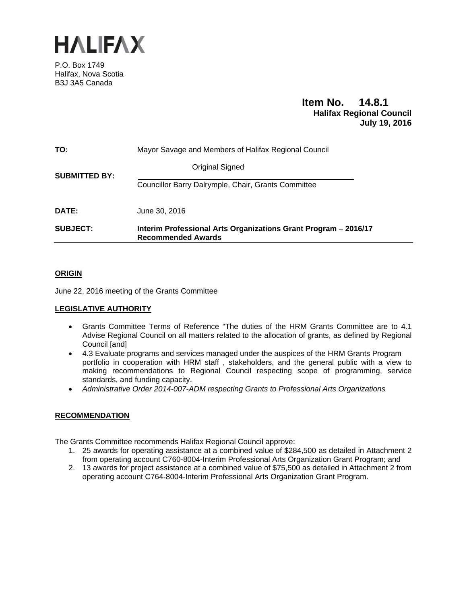

P.O. Box 1749 Halifax, Nova Scotia B3J 3A5 Canada

# **Item No. 14.8.1 Halifax Regional Council July 19, 2016**

| TO:                  | Mayor Savage and Members of Halifax Regional Council                                         |  |  |
|----------------------|----------------------------------------------------------------------------------------------|--|--|
| <b>SUBMITTED BY:</b> | Original Signed                                                                              |  |  |
|                      | Councillor Barry Dalrymple, Chair, Grants Committee                                          |  |  |
| <b>DATE:</b>         | June 30, 2016                                                                                |  |  |
| <b>SUBJECT:</b>      | Interim Professional Arts Organizations Grant Program - 2016/17<br><b>Recommended Awards</b> |  |  |

# **ORIGIN**

June 22, 2016 meeting of the Grants Committee

# **LEGISLATIVE AUTHORITY**

- Grants Committee Terms of Reference "The duties of the HRM Grants Committee are to 4.1 Advise Regional Council on all matters related to the allocation of grants, as defined by Regional Council [and]
- 4.3 Evaluate programs and services managed under the auspices of the HRM Grants Program portfolio in cooperation with HRM staff , stakeholders, and the general public with a view to making recommendations to Regional Council respecting scope of programming, service standards, and funding capacity.
- *Administrative Order 2014-007-ADM respecting Grants to Professional Arts Organizations*

# **RECOMMENDATION**

The Grants Committee recommends Halifax Regional Council approve:

- 1. 25 awards for operating assistance at a combined value of \$284,500 as detailed in Attachment 2 from operating account C760-8004-Interim Professional Arts Organization Grant Program; and
- 2. 13 awards for project assistance at a combined value of \$75,500 as detailed in Attachment 2 from operating account C764-8004-Interim Professional Arts Organization Grant Program.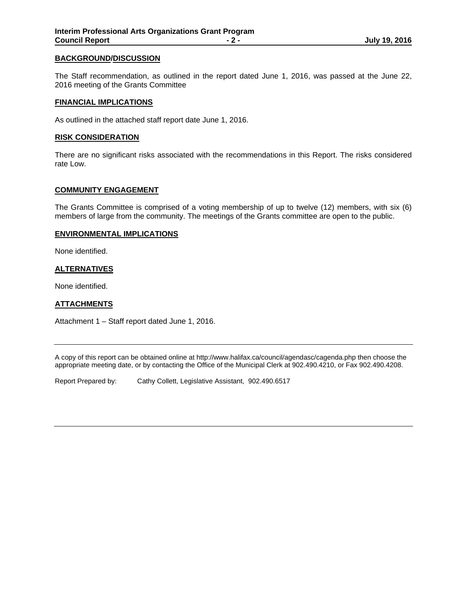#### **BACKGROUND/DISCUSSION**

The Staff recommendation, as outlined in the report dated June 1, 2016, was passed at the June 22, 2016 meeting of the Grants Committee

#### **FINANCIAL IMPLICATIONS**

As outlined in the attached staff report date June 1, 2016.

#### **RISK CONSIDERATION**

There are no significant risks associated with the recommendations in this Report. The risks considered rate Low.

#### **COMMUNITY ENGAGEMENT**

The Grants Committee is comprised of a voting membership of up to twelve (12) members, with six (6) members of large from the community. The meetings of the Grants committee are open to the public.

#### **ENVIRONMENTAL IMPLICATIONS**

None identified.

#### **ALTERNATIVES**

None identified.

#### **ATTACHMENTS**

Attachment 1 – Staff report dated June 1, 2016.

A copy of this report can be obtained online at http://www.halifax.ca/council/agendasc/cagenda.php then choose the appropriate meeting date, or by contacting the Office of the Municipal Clerk at 902.490.4210, or Fax 902.490.4208.

Report Prepared by: Cathy Collett, Legislative Assistant, 902.490.6517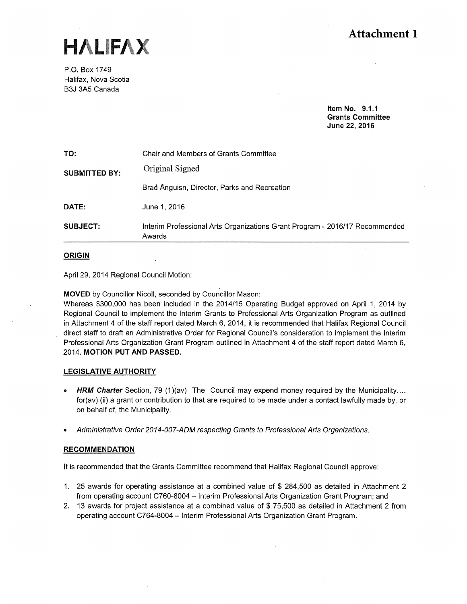HALIFAX

P.O. Box 1749 Halifax, Nova Scotia B3J 3A5 Canada

> Item No. 9.1.1 Grants Committee June 22, 2016

| TO:                  | Chair and Members of Grants Committee                                                 |
|----------------------|---------------------------------------------------------------------------------------|
| <b>SUBMITTED BY:</b> | Original Signed                                                                       |
|                      | Brad Anguisn, Director, Parks and Recreation                                          |
| DATE:                | June 1, 2016                                                                          |
| SUBJECT:             | Interim Professional Arts Organizations Grant Program - 2016/17 Recommended<br>Awards |

#### ORIGIN

April 29, 2014 Regional Council Motion:

MOVED by Councillor Nicoll, seconded by Councillor Mason:

Whereas \$300,000 has been included in the 2014/15 Operating Budget approved on April 1, 2014 by Regional Council to implement the Interim Grants to Professional Arts Organization Program as outlined in Attachment 4 of the staff report dated March 6, 2014, it is recommended that Halifax Regional Council direct staff to draft an Administrative Order for Regional Council's consideration to implement the Interim Professional Arts Organization Grant Program outlined in Attachment 4 of the staff report dated March 6, 2014. MOTION PUT AND PASSED.

#### LEGISLATIVE AUTHORITY

- HRM Charter Section, 79 (1)(av) The Council may expend money required by the Municipality.... for(av) (ii) a grant or contribution to that are required to be made under a contact lawfully made by, or on behalf of, the Municipality.
- Administrative Order 2014-007-ADM respecting Grants to Professional Arts Organizations.

#### **RECOMMENDATION**

It is recommended that the Grants Committee recommend that Halifax Regional Council approve:

- 1. 25 awards for operating assistance at a combined value of \$ 284,500 as detailed in Attachment 2 from operating account C760~8004 — Interim Professional Arts Organization Grant Program; and
- 2. 13 awards for project assistance at a combined value of \$ 75,500 as detailed in Attachment 2 from operating account C764-8004 — Interim Professional Arts Organization Grant Program.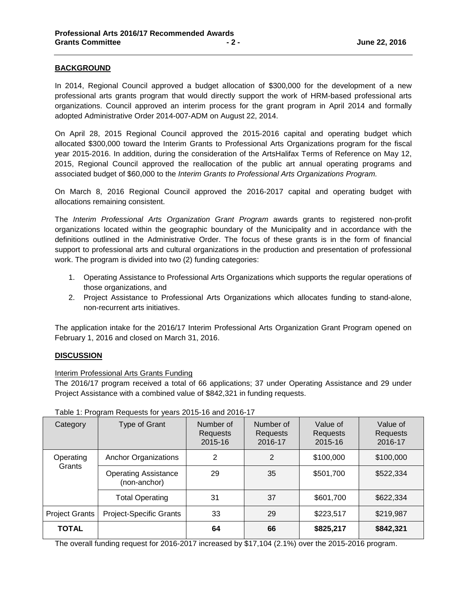# **BACKGROUND**

In 2014, Regional Council approved a budget allocation of \$300,000 for the development of a new professional arts grants program that would directly support the work of HRM-based professional arts organizations. Council approved an interim process for the grant program in April 2014 and formally adopted Administrative Order 2014-007-ADM on August 22, 2014.

On April 28, 2015 Regional Council approved the 2015-2016 capital and operating budget which allocated \$300,000 toward the Interim Grants to Professional Arts Organizations program for the fiscal year 2015-2016. In addition, during the consideration of the ArtsHalifax Terms of Reference on May 12, 2015, Regional Council approved the reallocation of the public art annual operating programs and associated budget of \$60,000 to the *Interim Grants to Professional Arts Organizations Program.*

On March 8, 2016 Regional Council approved the 2016-2017 capital and operating budget with allocations remaining consistent.

The *Interim Professional Arts Organization Grant Program* awards grants to registered non-profit organizations located within the geographic boundary of the Municipality and in accordance with the definitions outlined in the Administrative Order. The focus of these grants is in the form of financial support to professional arts and cultural organizations in the production and presentation of professional work. The program is divided into two (2) funding categories:

- 1. Operating Assistance to Professional Arts Organizations which supports the regular operations of those organizations, and
- 2. Project Assistance to Professional Arts Organizations which allocates funding to stand-alone, non-recurrent arts initiatives.

The application intake for the 2016/17 Interim Professional Arts Organization Grant Program opened on February 1, 2016 and closed on March 31, 2016.

#### **DISCUSSION**

#### Interim Professional Arts Grants Funding

The 2016/17 program received a total of 66 applications; 37 under Operating Assistance and 29 under Project Assistance with a combined value of \$842,321 in funding requests.

| Category              | Type of Grant                               | Number of<br>Requests<br>2015-16 | Number of<br>Requests<br>2016-17 | Value of<br><b>Requests</b><br>2015-16 | Value of<br><b>Requests</b><br>2016-17 |
|-----------------------|---------------------------------------------|----------------------------------|----------------------------------|----------------------------------------|----------------------------------------|
| Operating             | <b>Anchor Organizations</b>                 | 2                                | 2                                | \$100,000                              | \$100,000                              |
| Grants                | <b>Operating Assistance</b><br>(non-anchor) | 29                               | 35                               | \$501,700                              | \$522,334                              |
|                       | <b>Total Operating</b>                      | 31                               | 37                               | \$601,700                              | \$622,334                              |
| <b>Project Grants</b> | Project-Specific Grants                     | 33                               | 29                               | \$223,517                              | \$219,987                              |
| <b>TOTAL</b>          |                                             | 64                               | 66                               | \$825,217                              | \$842,321                              |

# Table 1: Program Requests for years 2015-16 and 2016-17

The overall funding request for 2016-2017 increased by \$17,104 (2.1%) over the 2015-2016 program.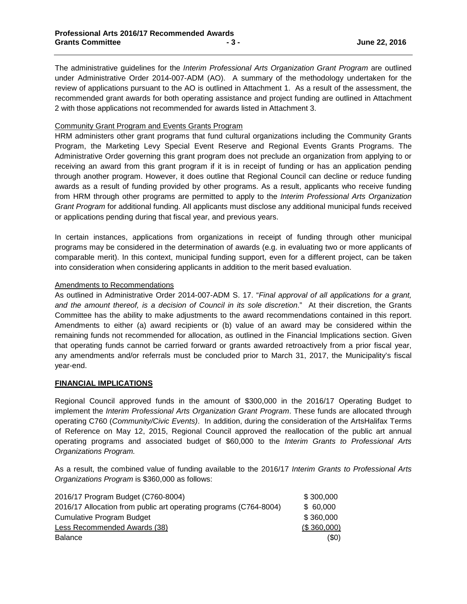The administrative guidelines for the *Interim Professional Arts Organization Grant Program* are outlined under Administrative Order 2014-007-ADM (AO). A summary of the methodology undertaken for the review of applications pursuant to the AO is outlined in Attachment 1. As a result of the assessment, the recommended grant awards for both operating assistance and project funding are outlined in Attachment 2 with those applications not recommended for awards listed in Attachment 3.

### Community Grant Program and Events Grants Program

HRM administers other grant programs that fund cultural organizations including the Community Grants Program, the Marketing Levy Special Event Reserve and Regional Events Grants Programs. The Administrative Order governing this grant program does not preclude an organization from applying to or receiving an award from this grant program if it is in receipt of funding or has an application pending through another program. However, it does outline that Regional Council can decline or reduce funding awards as a result of funding provided by other programs. As a result, applicants who receive funding from HRM through other programs are permitted to apply to the *Interim Professional Arts Organization Grant Program* for additional funding. All applicants must disclose any additional municipal funds received or applications pending during that fiscal year, and previous years.

In certain instances, applications from organizations in receipt of funding through other municipal programs may be considered in the determination of awards (e.g. in evaluating two or more applicants of comparable merit). In this context, municipal funding support, even for a different project, can be taken into consideration when considering applicants in addition to the merit based evaluation.

#### Amendments to Recommendations

As outlined in Administrative Order 2014-007-ADM S. 17. "*Final approval of all applications for a grant, and the amount thereof, is a decision of Council in its sole discretion*." At their discretion, the Grants Committee has the ability to make adjustments to the award recommendations contained in this report. Amendments to either (a) award recipients or (b) value of an award may be considered within the remaining funds not recommended for allocation, as outlined in the Financial Implications section. Given that operating funds cannot be carried forward or grants awarded retroactively from a prior fiscal year, any amendments and/or referrals must be concluded prior to March 31, 2017, the Municipality's fiscal year-end.

#### **FINANCIAL IMPLICATIONS**

Regional Council approved funds in the amount of \$300,000 in the 2016/17 Operating Budget to implement the *Interim Professional Arts Organization Grant Program*. These funds are allocated through operating C760 (*Community/Civic Events)*. In addition, during the consideration of the ArtsHalifax Terms of Reference on May 12, 2015, Regional Council approved the reallocation of the public art annual operating programs and associated budget of \$60,000 to the *Interim Grants to Professional Arts Organizations Program.* 

As a result, the combined value of funding available to the 2016/17 *Interim Grants to Professional Arts Organizations Program* is \$360,000 as follows:

| 2016/17 Program Budget (C760-8004)                                | \$300,000   |
|-------------------------------------------------------------------|-------------|
| 2016/17 Allocation from public art operating programs (C764-8004) | \$60,000    |
| Cumulative Program Budget                                         | \$360,000   |
| Less Recommended Awards (38)                                      | (\$360,000) |
| <b>Balance</b>                                                    | (50)        |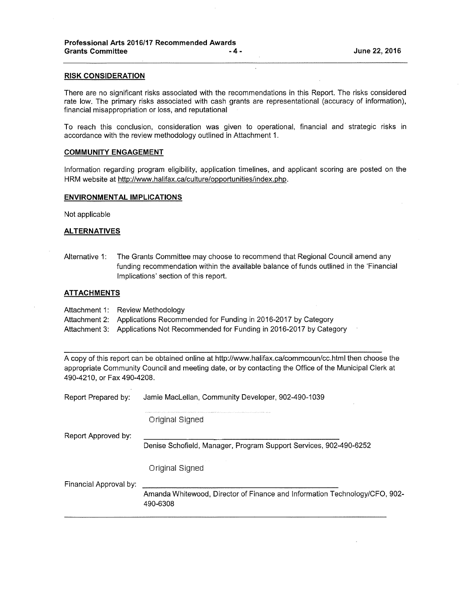#### RISK CONSIDERATION

There are no significant risks associated with the recommendations in this Report. The risks considered rate low. The primary risks associated with cash grants are representational (accuracy of information), financial misappropriation or loss, and reputational

To reach this conclusion, consideration was given to operational, financial and strategic risks in accordance with the review methodology outlined in Attachment 1.

#### COMMUNITY ENGAGEMENT

Information regarding program eligibility, application timelines, and applicant scoring are posted on the HRM website at [http://www.halifax.ca/culture/opportunities/index.php.](http://www.halifax.ca/culture/opportunities/index.php)

#### ENVIRONMENTAL IMPLICATIONS

Not applicable

#### **ALTERNATIVES**

Alternative 1: The Grants Committee may choose to recommend that Regional Council amend any funding recommendation within the available balance of funds outlined in the 'Financial Implications' section of this report.

#### **ATTACHMENTS**

Attachment 1: Review Methodology

Attachment 2: Applications Recommended for Funding in 2016-2017 by Category

Attachment 3: Applications Not Recommended for Funding in 2016-2017 by Category

A copy of this report can be obtained online at http://www.halifax.ca/commcoun/cc.html then choose the appropriate Community Council and meeting date, or by contacting the Office of the Municipal Clerk at 490-4210, or Fax 490-4208.

| Report Prepared by:    | Jamie MacLellan, Community Developer, 902-490-1039                                     |
|------------------------|----------------------------------------------------------------------------------------|
|                        | Original Signed                                                                        |
| Report Approved by:    |                                                                                        |
|                        | Denise Schofield, Manager, Program Support Services, 902-490-6252                      |
|                        | Original Signed                                                                        |
| Financial Approval by: |                                                                                        |
|                        | Amanda Whitewood, Director of Finance and Information Technology/CFO, 902-<br>490-6308 |
|                        |                                                                                        |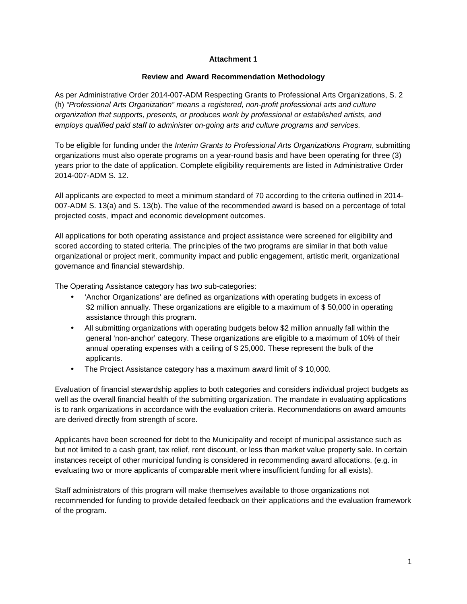# **Attachment 1**

### **Review and Award Recommendation Methodology**

As per Administrative Order 2014-007-ADM Respecting Grants to Professional Arts Organizations, S. 2 (h) *"Professional Arts Organization" means a registered, non-profit professional arts and culture organization that supports, presents, or produces work by professional or established artists, and employs qualified paid staff to administer on-going arts and culture programs and services.*

To be eligible for funding under the *Interim Grants to Professional Arts Organizations Program*, submitting organizations must also operate programs on a year-round basis and have been operating for three (3) years prior to the date of application. Complete eligibility requirements are listed in Administrative Order 2014-007-ADM S. 12.

All applicants are expected to meet a minimum standard of 70 according to the criteria outlined in 2014- 007-ADM S. 13(a) and S. 13(b). The value of the recommended award is based on a percentage of total projected costs, impact and economic development outcomes.

All applications for both operating assistance and project assistance were screened for eligibility and scored according to stated criteria. The principles of the two programs are similar in that both value organizational or project merit, community impact and public engagement, artistic merit, organizational governance and financial stewardship.

The Operating Assistance category has two sub-categories:

- 'Anchor Organizations' are defined as organizations with operating budgets in excess of \$2 million annually. These organizations are eligible to a maximum of \$ 50,000 in operating assistance through this program.
- All submitting organizations with operating budgets below \$2 million annually fall within the general 'non-anchor' category. These organizations are eligible to a maximum of 10% of their annual operating expenses with a ceiling of \$ 25,000. These represent the bulk of the applicants.
- The Project Assistance category has a maximum award limit of \$ 10,000.

Evaluation of financial stewardship applies to both categories and considers individual project budgets as well as the overall financial health of the submitting organization. The mandate in evaluating applications is to rank organizations in accordance with the evaluation criteria. Recommendations on award amounts are derived directly from strength of score.

Applicants have been screened for debt to the Municipality and receipt of municipal assistance such as but not limited to a cash grant, tax relief, rent discount, or less than market value property sale. In certain instances receipt of other municipal funding is considered in recommending award allocations. (e.g. in evaluating two or more applicants of comparable merit where insufficient funding for all exists).

Staff administrators of this program will make themselves available to those organizations not recommended for funding to provide detailed feedback on their applications and the evaluation framework of the program.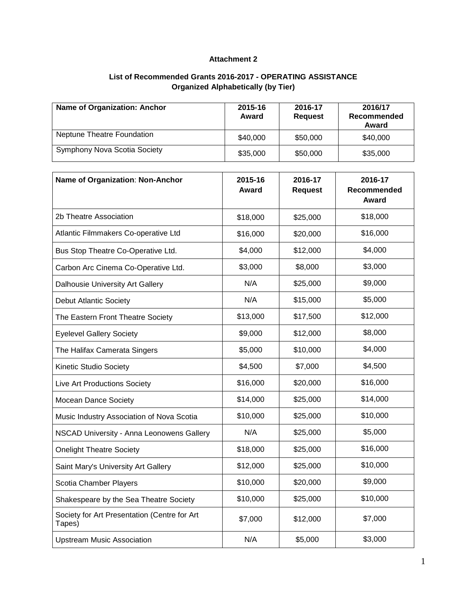# **Attachment 2**

# **List of Recommended Grants 2016-2017 - OPERATING ASSISTANCE Organized Alphabetically (by Tier)**

| <b>Name of Organization: Anchor</b> | 2015-16<br>Award | 2016-17<br><b>Request</b> | 2016/17<br>Recommended<br>Award |
|-------------------------------------|------------------|---------------------------|---------------------------------|
| Neptune Theatre Foundation          | \$40,000         | \$50,000                  | \$40,000                        |
| <b>Symphony Nova Scotia Society</b> | \$35,000         | \$50,000                  | \$35,000                        |

| Name of Organization: Non-Anchor                       | 2015-16<br><b>Award</b> | 2016-17<br><b>Request</b> | 2016-17<br>Recommended<br><b>Award</b> |
|--------------------------------------------------------|-------------------------|---------------------------|----------------------------------------|
| 2b Theatre Association                                 | \$18,000                | \$25,000                  | \$18,000                               |
| Atlantic Filmmakers Co-operative Ltd                   | \$16,000                | \$20,000                  | \$16,000                               |
| Bus Stop Theatre Co-Operative Ltd.                     | \$4,000                 | \$12,000                  | \$4,000                                |
| Carbon Arc Cinema Co-Operative Ltd.                    | \$3,000                 | \$8,000                   | \$3,000                                |
| Dalhousie University Art Gallery                       | N/A                     | \$25,000                  | \$9,000                                |
| <b>Debut Atlantic Society</b>                          | N/A                     | \$15,000                  | \$5,000                                |
| The Eastern Front Theatre Society                      | \$13,000                | \$17,500                  | \$12,000                               |
| <b>Eyelevel Gallery Society</b>                        | \$9,000                 | \$12,000                  | \$8,000                                |
| The Halifax Camerata Singers                           | \$5,000                 | \$10,000                  | \$4,000                                |
| Kinetic Studio Society                                 | \$4,500                 | \$7,000                   | \$4,500                                |
| Live Art Productions Society                           | \$16,000                | \$20,000                  | \$16,000                               |
| Mocean Dance Society                                   | \$14,000                | \$25,000                  | \$14,000                               |
| Music Industry Association of Nova Scotia              | \$10,000                | \$25,000                  | \$10,000                               |
| NSCAD University - Anna Leonowens Gallery              | N/A                     | \$25,000                  | \$5,000                                |
| <b>Onelight Theatre Society</b>                        | \$18,000                | \$25,000                  | \$16,000                               |
| Saint Mary's University Art Gallery                    | \$12,000                | \$25,000                  | \$10,000                               |
| Scotia Chamber Players                                 | \$10,000                | \$20,000                  | \$9,000                                |
| Shakespeare by the Sea Theatre Society                 | \$10,000                | \$25,000                  | \$10,000                               |
| Society for Art Presentation (Centre for Art<br>Tapes) | \$7,000                 | \$12,000                  | \$7,000                                |
| <b>Upstream Music Association</b>                      | N/A                     | \$5,000                   | \$3,000                                |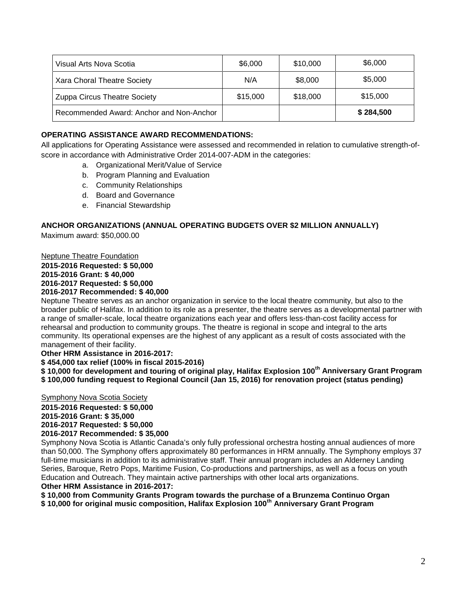| Visual Arts Nova Scotia                  | \$6,000  | \$10,000 | \$6,000   |
|------------------------------------------|----------|----------|-----------|
| Xara Choral Theatre Society              | N/A      | \$8,000  | \$5,000   |
| Zuppa Circus Theatre Society             | \$15,000 | \$18,000 | \$15,000  |
| Recommended Award: Anchor and Non-Anchor |          |          | \$284,500 |

# **OPERATING ASSISTANCE AWARD RECOMMENDATIONS:**

All applications for Operating Assistance were assessed and recommended in relation to cumulative strength-ofscore in accordance with Administrative Order 2014-007-ADM in the categories:

- a. Organizational Merit/Value of Service
- b. Program Planning and Evaluation
- c. Community Relationships
- d. Board and Governance
- e. Financial Stewardship

# **ANCHOR ORGANIZATIONS (ANNUAL OPERATING BUDGETS OVER \$2 MILLION ANNUALLY)**

Maximum award: \$50,000.00

Neptune Theatre Foundation

**2015-2016 Requested: \$ 50,000 2015-2016 Grant: \$ 40,000 2016-2017 Requested: \$ 50,000 2016-2017 Recommended: \$ 40,000**

Neptune Theatre serves as an anchor organization in service to the local theatre community, but also to the broader public of Halifax. In addition to its role as a presenter, the theatre serves as a developmental partner with a range of smaller-scale, local theatre organizations each year and offers less-than-cost facility access for rehearsal and production to community groups. The theatre is regional in scope and integral to the arts community. Its operational expenses are the highest of any applicant as a result of costs associated with the management of their facility.

**Other HRM Assistance in 2016-2017:**

**\$ 454,000 tax relief (100% in fiscal 2015-2016)**

**\$ 10,000 for development and touring of original play, Halifax Explosion 100th Anniversary Grant Program \$ 100,000 funding request to Regional Council (Jan 15, 2016) for renovation project (status pending)**

Symphony Nova Scotia Society

**2015-2016 Requested: \$ 50,000 2015-2016 Grant: \$ 35,000 2016-2017 Requested: \$ 50,000 2016-2017 Recommended: \$ 35,000**

Symphony Nova Scotia is Atlantic Canada's only fully professional orchestra hosting annual audiences of more than 50,000. The Symphony offers approximately 80 performances in HRM annually. The Symphony employs 37 full-time musicians in addition to its administrative staff. Their annual program includes an Alderney Landing Series, Baroque, Retro Pops, Maritime Fusion, Co-productions and partnerships, as well as a focus on youth Education and Outreach. They maintain active partnerships with other local arts organizations. **Other HRM Assistance in 2016-2017:**

**\$ 10,000 from Community Grants Program towards the purchase of a Brunzema Continuo Organ \$ 10,000 for original music composition, Halifax Explosion 100th Anniversary Grant Program**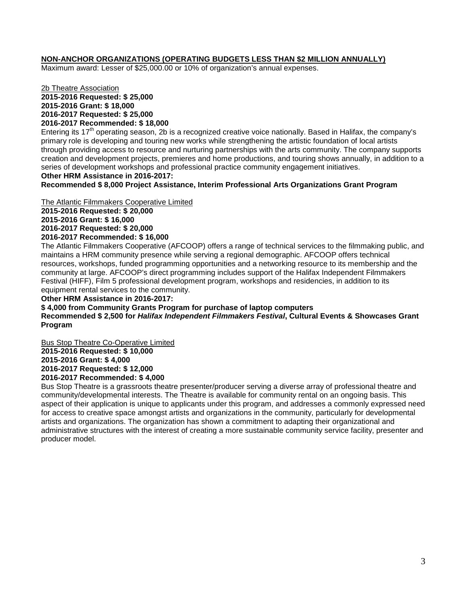# **NON-ANCHOR ORGANIZATIONS (OPERATING BUDGETS LESS THAN \$2 MILLION ANNUALLY)**

Maximum award: Lesser of \$25,000.00 or 10% of organization's annual expenses.

2b Theatre Association **2015-2016 Requested: \$ 25,000 2015-2016 Grant: \$ 18,000 2016-2017 Requested: \$ 25,000 2016-2017 Recommended: \$ 18,000**

Entering its 17<sup>th</sup> operating season, 2b is a recognized creative voice nationally. Based in Halifax, the company's primary role is developing and touring new works while strengthening the artistic foundation of local artists through providing access to resource and nurturing partnerships with the arts community. The company supports creation and development projects, premieres and home productions, and touring shows annually, in addition to a series of development workshops and professional practice community engagement initiatives. **Other HRM Assistance in 2016-2017:**

**Recommended \$ 8,000 Project Assistance, Interim Professional Arts Organizations Grant Program**

The Atlantic Filmmakers Cooperative Limited

**2015-2016 Requested: \$ 20,000 2015-2016 Grant: \$ 16,000 2016-2017 Requested: \$ 20,000 2016-2017 Recommended: \$ 16,000**

The Atlantic Filmmakers Cooperative (AFCOOP) offers a range of technical services to the filmmaking public, and maintains a HRM community presence while serving a regional demographic. AFCOOP offers technical resources, workshops, funded programming opportunities and a networking resource to its membership and the community at large. AFCOOP's direct programming includes support of the Halifax Independent Filmmakers Festival (HIFF), Film 5 professional development program, workshops and residencies, in addition to its equipment rental services to the community.

**Other HRM Assistance in 2016-2017:**

**\$ 4,000 from Community Grants Program for purchase of laptop computers Recommended \$ 2,500 for** *Halifax Independent Filmmakers Festival***, Cultural Events & Showcases Grant Program**

Bus Stop Theatre Co-Operative Limited **2015-2016 Requested: \$ 10,000 2015-2016 Grant: \$ 4,000 2016-2017 Requested: \$ 12,000 2016-2017 Recommended: \$ 4,000**

Bus Stop Theatre is a grassroots theatre presenter/producer serving a diverse array of professional theatre and community/developmental interests. The Theatre is available for community rental on an ongoing basis. This aspect of their application is unique to applicants under this program, and addresses a commonly expressed need for access to creative space amongst artists and organizations in the community, particularly for developmental artists and organizations. The organization has shown a commitment to adapting their organizational and administrative structures with the interest of creating a more sustainable community service facility, presenter and producer model.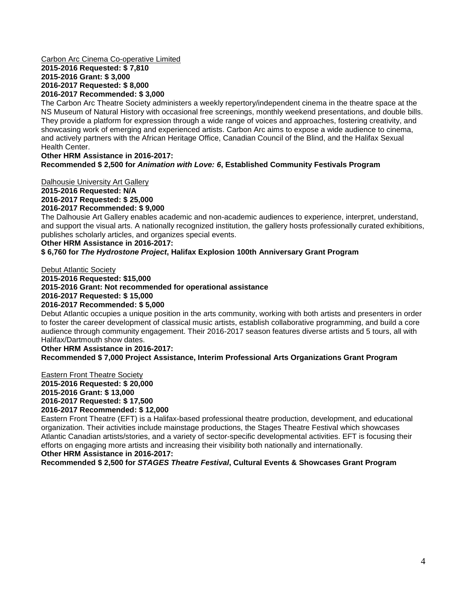#### Carbon Arc Cinema Co-operative Limited **2015-2016 Requested: \$ 7,810 2015-2016 Grant: \$ 3,000 2016-2017 Requested: \$ 8,000 2016-2017 Recommended: \$ 3,000**

The Carbon Arc Theatre Society administers a weekly repertory/independent cinema in the theatre space at the NS Museum of Natural History with occasional free screenings, monthly weekend presentations, and double bills. They provide a platform for expression through a wide range of voices and approaches, fostering creativity, and showcasing work of emerging and experienced artists. Carbon Arc aims to expose a wide audience to cinema, and actively partners with the African Heritage Office, Canadian Council of the Blind, and the Halifax Sexual Health Center.

# **Other HRM Assistance in 2016-2017: Recommended \$ 2,500 for** *Animation with Love: 6***, Established Community Festivals Program**

Dalhousie University Art Gallery **2015-2016 Requested: N/A 2016-2017 Requested: \$ 25,000 2016-2017 Recommended: \$ 9,000**

The Dalhousie Art Gallery enables academic and non-academic audiences to experience, interpret, understand, and support the visual arts. A nationally recognized institution, the gallery hosts professionally curated exhibitions, publishes scholarly articles, and organizes special events.

#### **Other HRM Assistance in 2016-2017:**

#### **\$ 6,760 for** *The Hydrostone Project***, Halifax Explosion 100th Anniversary Grant Program**

Debut Atlantic Society

**2015-2016 Requested: \$15,000 2015-2016 Grant: Not recommended for operational assistance 2016-2017 Requested: \$ 15,000 2016-2017 Recommended: \$ 5,000**

Debut Atlantic occupies a unique position in the arts community, working with both artists and presenters in order to foster the career development of classical music artists, establish collaborative programming, and build a core audience through community engagement. Their 2016-2017 season features diverse artists and 5 tours, all with Halifax/Dartmouth show dates.

#### **Other HRM Assistance in 2016-2017: Recommended \$ 7,000 Project Assistance, Interim Professional Arts Organizations Grant Program**

Eastern Front Theatre Society **2015-2016 Requested: \$ 20,000 2015-2016 Grant: \$ 13,000 2016-2017 Requested: \$ 17,500 2016-2017 Recommended: \$ 12,000**

Eastern Front Theatre (EFT) is a Halifax-based professional theatre production, development, and educational organization. Their activities include mainstage productions, the Stages Theatre Festival which showcases Atlantic Canadian artists/stories, and a variety of sector-specific developmental activities. EFT is focusing their efforts on engaging more artists and increasing their visibility both nationally and internationally. **Other HRM Assistance in 2016-2017:**

**Recommended \$ 2,500 for** *STAGES Theatre Festival***, Cultural Events & Showcases Grant Program**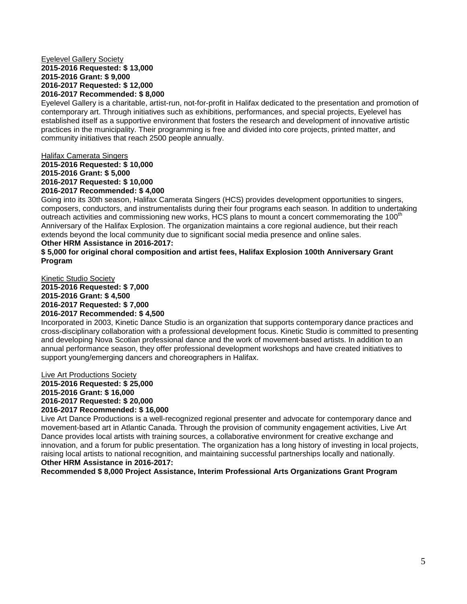#### Eyelevel Gallery Society **2015-2016 Requested: \$ 13,000 2015-2016 Grant: \$ 9,000 2016-2017 Requested: \$ 12,000 2016-2017 Recommended: \$ 8,000**

Eyelevel Gallery is a charitable, artist-run, not-for-profit in Halifax dedicated to the presentation and promotion of contemporary art. Through initiatives such as exhibitions, performances, and special projects, Eyelevel has established itself as a supportive environment that fosters the research and development of innovative artistic practices in the municipality. Their programming is free and divided into core projects, printed matter, and community initiatives that reach 2500 people annually.

#### Halifax Camerata Singers

**2015-2016 Requested: \$ 10,000 2015-2016 Grant: \$ 5,000 2016-2017 Requested: \$ 10,000 2016-2017 Recommended: \$ 4,000**

Going into its 30th season, Halifax Camerata Singers (HCS) provides development opportunities to singers, composers, conductors, and instrumentalists during their four programs each season. In addition to undertaking outreach activities and commissioning new works, HCS plans to mount a concert commemorating the 100 $^{\circ}$ Anniversary of the Halifax Explosion. The organization maintains a core regional audience, but their reach extends beyond the local community due to significant social media presence and online sales. **Other HRM Assistance in 2016-2017:**

# **\$ 5,000 for original choral composition and artist fees, Halifax Explosion 100th Anniversary Grant Program**

Kinetic Studio Society **2015-2016 Requested: \$ 7,000 2015-2016 Grant: \$ 4,500 2016-2017 Requested: \$ 7,000 2016-2017 Recommended: \$ 4,500**

Incorporated in 2003, Kinetic Dance Studio is an organization that supports contemporary dance practices and cross-disciplinary collaboration with a professional development focus. Kinetic Studio is committed to presenting and developing Nova Scotian professional dance and the work of movement-based artists. In addition to an annual performance season, they offer professional development workshops and have created initiatives to support young/emerging dancers and choreographers in Halifax.

#### Live Art Productions Society

**2015-2016 Requested: \$ 25,000 2015-2016 Grant: \$ 16,000 2016-2017 Requested: \$ 20,000 2016-2017 Recommended: \$ 16,000**

Live Art Dance Productions is a well-recognized regional presenter and advocate for contemporary dance and movement-based art in Atlantic Canada. Through the provision of community engagement activities, Live Art Dance provides local artists with training sources, a collaborative environment for creative exchange and innovation, and a forum for public presentation. The organization has a long history of investing in local projects, raising local artists to national recognition, and maintaining successful partnerships locally and nationally. **Other HRM Assistance in 2016-2017:**

**Recommended \$ 8,000 Project Assistance, Interim Professional Arts Organizations Grant Program**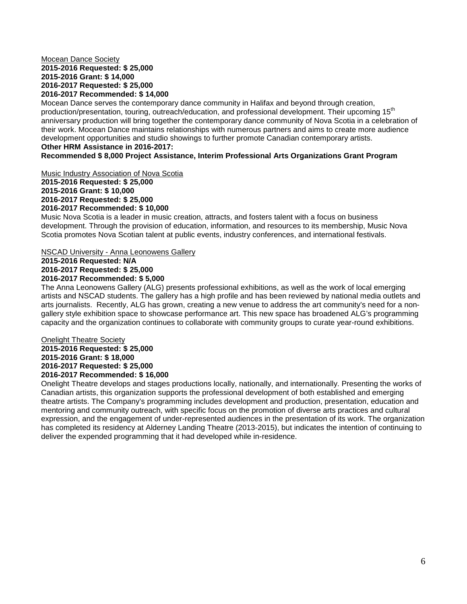#### Mocean Dance Society **2015-2016 Requested: \$ 25,000 2015-2016 Grant: \$ 14,000 2016-2017 Requested: \$ 25,000 2016-2017 Recommended: \$ 14,000**

Mocean Dance serves the contemporary dance community in Halifax and beyond through creation, production/presentation, touring, outreach/education, and professional development. Their upcoming 15<sup>th</sup> anniversary production will bring together the contemporary dance community of Nova Scotia in a celebration of their work. Mocean Dance maintains relationships with numerous partners and aims to create more audience development opportunities and studio showings to further promote Canadian contemporary artists. **Other HRM Assistance in 2016-2017:**

**Recommended \$ 8,000 Project Assistance, Interim Professional Arts Organizations Grant Program**

Music Industry Association of Nova Scotia

**2015-2016 Requested: \$ 25,000 2015-2016 Grant: \$ 10,000 2016-2017 Requested: \$ 25,000 2016-2017 Recommended: \$ 10,000**

Music Nova Scotia is a leader in music creation, attracts, and fosters talent with a focus on business development. Through the provision of education, information, and resources to its membership, Music Nova Scotia promotes Nova Scotian talent at public events, industry conferences, and international festivals.

# NSCAD University - Anna Leonowens Gallery

**2015-2016 Requested: N/A 2016-2017 Requested: \$ 25,000 2016-2017 Recommended: \$ 5,000**

The Anna Leonowens Gallery (ALG) presents professional exhibitions, as well as the work of local emerging artists and NSCAD students. The gallery has a high profile and has been reviewed by national media outlets and arts journalists. Recently, ALG has grown, creating a new venue to address the art community's need for a nongallery style exhibition space to showcase performance art. This new space has broadened ALG's programming capacity and the organization continues to collaborate with community groups to curate year-round exhibitions.

#### Onelight Theatre Society **2015-2016 Requested: \$ 25,000 2015-2016 Grant: \$ 18,000 2016-2017 Requested: \$ 25,000 2016-2017 Recommended: \$ 16,000**

Onelight Theatre develops and stages productions locally, nationally, and internationally. Presenting the works of Canadian artists, this organization supports the professional development of both established and emerging theatre artists. The Company's programming includes development and production, presentation, education and mentoring and community outreach, with specific focus on the promotion of diverse arts practices and cultural expression, and the engagement of under-represented audiences in the presentation of its work. The organization has completed its residency at Alderney Landing Theatre (2013-2015), but indicates the intention of continuing to deliver the expended programming that it had developed while in-residence.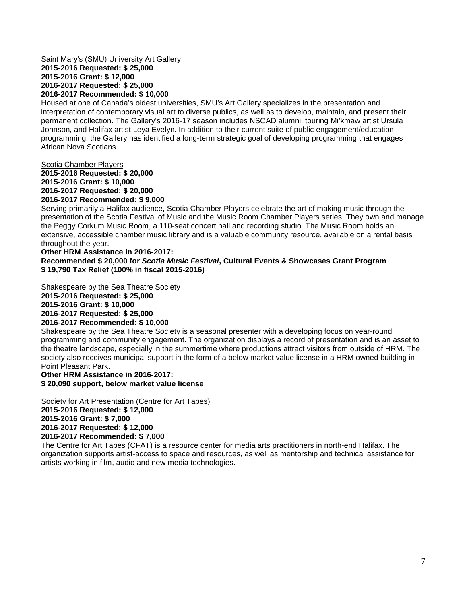#### Saint Mary's (SMU) University Art Gallery **2015-2016 Requested: \$ 25,000 2015-2016 Grant: \$ 12,000 2016-2017 Requested: \$ 25,000 2016-2017 Recommended: \$ 10,000**

Housed at one of Canada's oldest universities, SMU's Art Gallery specializes in the presentation and interpretation of contemporary visual art to diverse publics, as well as to develop, maintain, and present their permanent collection. The Gallery's 2016-17 season includes NSCAD alumni, touring Mi'kmaw artist Ursula Johnson, and Halifax artist Leya Evelyn. In addition to their current suite of public engagement/education programming, the Gallery has identified a long-term strategic goal of developing programming that engages African Nova Scotians.

#### Scotia Chamber Players

**2015-2016 Requested: \$ 20,000 2015-2016 Grant: \$ 10,000 2016-2017 Requested: \$ 20,000 2016-2017 Recommended: \$ 9,000**

Serving primarily a Halifax audience, Scotia Chamber Players celebrate the art of making music through the presentation of the Scotia Festival of Music and the Music Room Chamber Players series. They own and manage the Peggy Corkum Music Room, a 110-seat concert hall and recording studio. The Music Room holds an extensive, accessible chamber music library and is a valuable community resource, available on a rental basis throughout the year.

#### **Other HRM Assistance in 2016-2017:**

**Recommended \$ 20,000 for** *Scotia Music Festival***, Cultural Events & Showcases Grant Program \$ 19,790 Tax Relief (100% in fiscal 2015-2016)**

Shakespeare by the Sea Theatre Society **2015-2016 Requested: \$ 25,000 2015-2016 Grant: \$ 10,000 2016-2017 Requested: \$ 25,000 2016-2017 Recommended: \$ 10,000**

Shakespeare by the Sea Theatre Society is a seasonal presenter with a developing focus on year-round programming and community engagement. The organization displays a record of presentation and is an asset to the theatre landscape, especially in the summertime where productions attract visitors from outside of HRM. The society also receives municipal support in the form of a below market value license in a HRM owned building in Point Pleasant Park.

#### **Other HRM Assistance in 2016-2017: \$ 20,090 support, below market value license**

#### Society for Art Presentation (Centre for Art Tapes)

**2015-2016 Requested: \$ 12,000 2015-2016 Grant: \$ 7,000 2016-2017 Requested: \$ 12,000 2016-2017 Recommended: \$ 7,000**

The Centre for Art Tapes (CFAT) is a resource center for media arts practitioners in north-end Halifax. The organization supports artist-access to space and resources, as well as mentorship and technical assistance for artists working in film, audio and new media technologies.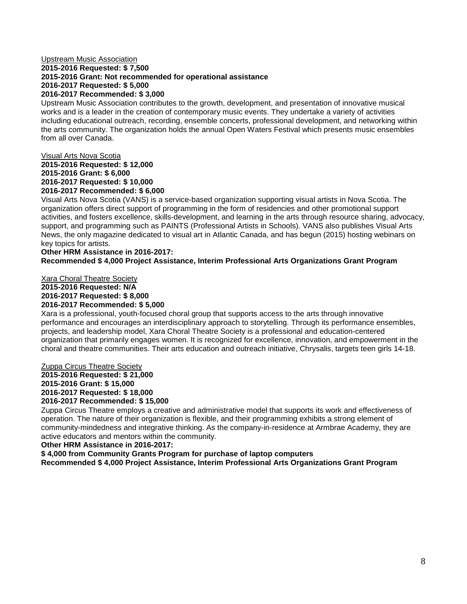#### Upstream Music Association **2015-2016 Requested: \$ 7,500 2015-2016 Grant: Not recommended for operational assistance 2016-2017 Requested: \$ 5,000 2016-2017 Recommended: \$ 3,000**

Upstream Music Association contributes to the growth, development, and presentation of innovative musical works and is a leader in the creation of contemporary music events. They undertake a variety of activities including educational outreach, recording, ensemble concerts, professional development, and networking within the arts community. The organization holds the annual Open Waters Festival which presents music ensembles from all over Canada.

# Visual Arts Nova Scotia

**2015-2016 Requested: \$ 12,000 2015-2016 Grant: \$ 6,000 2016-2017 Requested: \$ 10,000 2016-2017 Recommended: \$ 6,000**

Visual Arts Nova Scotia (VANS) is a service-based organization supporting visual artists in Nova Scotia. The organization offers direct support of programming in the form of residencies and other promotional support activities, and fosters excellence, skills-development, and learning in the arts through resource sharing, advocacy, support, and programming such as PAINTS (Professional Artists in Schools). VANS also publishes Visual Arts News, the only magazine dedicated to visual art in Atlantic Canada, and has begun (2015) hosting webinars on key topics for artists.

# **Other HRM Assistance in 2016-2017:**

# **Recommended \$ 4,000 Project Assistance, Interim Professional Arts Organizations Grant Program**

Xara Choral Theatre Society **2015-2016 Requested: N/A 2016-2017 Requested: \$ 8,000 2016-2017 Recommended: \$ 5,000**

Xara is a professional, youth-focused choral group that supports access to the arts through innovative performance and encourages an interdisciplinary approach to storytelling. Through its performance ensembles, projects, and leadership model, Xara Choral Theatre Society is a professional and education-centered organization that primarily engages women. It is recognized for excellence, innovation, and empowerment in the choral and theatre communities. Their arts education and outreach initiative, Chrysalis, targets teen girls 14-18.

# Zuppa Circus Theatre Society

**2015-2016 Requested: \$ 21,000 2015-2016 Grant: \$ 15,000 2016-2017 Requested: \$ 18,000 2016-2017 Recommended: \$ 15,000**

Zuppa Circus Theatre employs a creative and administrative model that supports its work and effectiveness of operation. The nature of their organization is flexible, and their programming exhibits a strong element of community-mindedness and integrative thinking. As the company-in-residence at Armbrae Academy, they are active educators and mentors within the community.

**Other HRM Assistance in 2016-2017:**

**\$ 4,000 from Community Grants Program for purchase of laptop computers**

**Recommended \$ 4,000 Project Assistance, Interim Professional Arts Organizations Grant Program**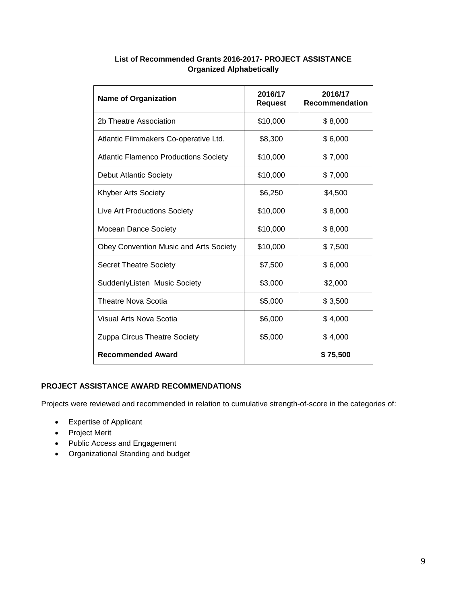| <b>Name of Organization</b>                  | 2016/17<br><b>Request</b> | 2016/17<br><b>Recommendation</b> |
|----------------------------------------------|---------------------------|----------------------------------|
| 2b Theatre Association                       | \$10,000                  | \$8,000                          |
| Atlantic Filmmakers Co-operative Ltd.        | \$8,300                   | \$6,000                          |
| <b>Atlantic Flamenco Productions Society</b> | \$10,000                  | \$7,000                          |
| <b>Debut Atlantic Society</b>                | \$10,000                  | \$7,000                          |
| <b>Khyber Arts Society</b>                   | \$6,250                   | \$4,500                          |
| <b>Live Art Productions Society</b>          | \$10,000                  | \$8,000                          |
| <b>Mocean Dance Society</b>                  | \$10,000                  | \$8,000                          |
| Obey Convention Music and Arts Society       | \$10,000                  | \$7,500                          |
| <b>Secret Theatre Society</b>                | \$7,500                   | \$6,000                          |
| SuddenlyListen Music Society                 | \$3,000                   | \$2,000                          |
| Theatre Nova Scotia                          | \$5,000                   | \$3,500                          |
| Visual Arts Nova Scotia                      | \$6,000                   | \$4,000                          |
| Zuppa Circus Theatre Society                 | \$5,000                   | \$4,000                          |
| <b>Recommended Award</b>                     |                           | \$75,500                         |

# **List of Recommended Grants 2016-2017- PROJECT ASSISTANCE Organized Alphabetically**

# **PROJECT ASSISTANCE AWARD RECOMMENDATIONS**

Projects were reviewed and recommended in relation to cumulative strength-of-score in the categories of:

- Expertise of Applicant
- Project Merit
- Public Access and Engagement
- Organizational Standing and budget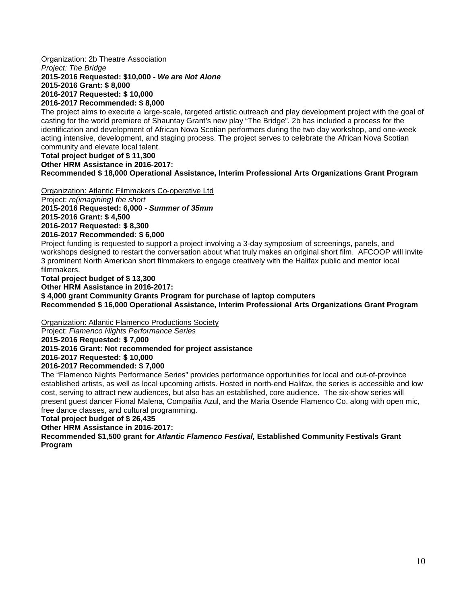Organization: 2b Theatre Association

*Project: The Bridge*

**2015-2016 Requested: \$10,000 -** *We are Not Alone*

**2015-2016 Grant: \$ 8,000 2016-2017 Requested: \$ 10,000**

**2016-2017 Recommended: \$ 8,000**

The project aims to execute a large-scale, targeted artistic outreach and play development project with the goal of casting for the world premiere of Shauntay Grant's new play "The Bridge". 2b has included a process for the identification and development of African Nova Scotian performers during the two day workshop, and one-week acting intensive, development, and staging process. The project serves to celebrate the African Nova Scotian community and elevate local talent.

#### **Total project budget of \$ 11,300 Other HRM Assistance in 2016-2017:**

**Recommended \$ 18,000 Operational Assistance, Interim Professional Arts Organizations Grant Program**

Organization: Atlantic Filmmakers Co-operative Ltd

Project: *re(imagining) the short*

**2015-2016 Requested: 6,000 -** *Summer of 35mm*

**2015-2016 Grant: \$ 4,500**

**2016-2017 Requested: \$ 8,300 2016-2017 Recommended: \$ 6,000**

Project funding is requested to support a project involving a 3-day symposium of screenings, panels, and workshops designed to restart the conversation about what truly makes an original short film. AFCOOP will invite 3 prominent North American short filmmakers to engage creatively with the Halifax public and mentor local filmmakers.

**Total project budget of \$ 13,300**

**Other HRM Assistance in 2016-2017:**

**\$ 4,000 grant Community Grants Program for purchase of laptop computers Recommended \$ 16,000 Operational Assistance, Interim Professional Arts Organizations Grant Program**

Organization: Atlantic Flamenco Productions Society

Project: *Flamenco Nights Performance Series*

**2015-2016 Requested: \$ 7,000**

**2015-2016 Grant: Not recommended for project assistance**

**2016-2017 Requested: \$ 10,000**

**2016-2017 Recommended: \$ 7,000**

The "Flamenco Nights Performance Series" provides performance opportunities for local and out-of-province established artists, as well as local upcoming artists. Hosted in north-end Halifax, the series is accessible and low cost, serving to attract new audiences, but also has an established, core audience. The six-show series will present guest dancer Fional Malena, Compañia Azul, and the Maria Osende Flamenco Co. along with open mic, free dance classes, and cultural programming.

# **Total project budget of \$ 26,435**

**Other HRM Assistance in 2016-2017:**

**Recommended \$1,500 grant for** *Atlantic Flamenco Festival,* **Established Community Festivals Grant Program**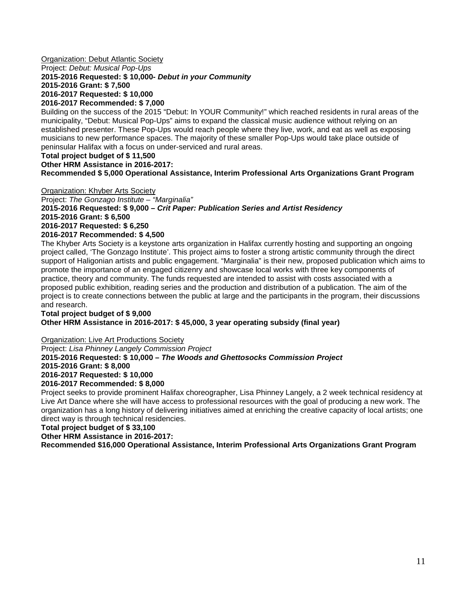### **Organization: Debut Atlantic Society**

Project: *Debut: Musical Pop-Ups*

# **2015-2016 Requested: \$ 10,000-** *Debut in your Community*

**2015-2016 Grant: \$ 7,500**

**2016-2017 Requested: \$ 10,000**

# **2016-2017 Recommended: \$ 7,000**

Building on the success of the 2015 "Debut: In YOUR Community!" which reached residents in rural areas of the municipality, "Debut: Musical Pop-Ups" aims to expand the classical music audience without relying on an established presenter. These Pop-Ups would reach people where they live, work, and eat as well as exposing musicians to new performance spaces. The majority of these smaller Pop-Ups would take place outside of peninsular Halifax with a focus on under-serviced and rural areas.

# **Total project budget of \$ 11,500**

**Other HRM Assistance in 2016-2017:**

**Recommended \$ 5,000 Operational Assistance, Interim Professional Arts Organizations Grant Program**

Organization: Khyber Arts Society Project: *The Gonzago Institute – "Marginalia"*  **2015-2016 Requested: \$ 9,000 –** *Crit Paper: Publication Series and Artist Residency* **2015-2016 Grant: \$ 6,500 2016-2017 Requested: \$ 6,250 2016-2017 Recommended: \$ 4,500**

The Khyber Arts Society is a keystone arts organization in Halifax currently hosting and supporting an ongoing project called, 'The Gonzago Institute'. This project aims to foster a strong artistic community through the direct support of Haligonian artists and public engagement. "Marginalia" is their new, proposed publication which aims to promote the importance of an engaged citizenry and showcase local works with three key components of practice, theory and community. The funds requested are intended to assist with costs associated with a proposed public exhibition, reading series and the production and distribution of a publication. The aim of the project is to create connections between the public at large and the participants in the program, their discussions and research.

#### **Total project budget of \$ 9,000 Other HRM Assistance in 2016-2017: \$ 45,000, 3 year operating subsidy (final year)**

# Organization: Live Art Productions Society

Project: *Lisa Phinney Langely Commission Project* **2015-2016 Requested: \$ 10,000 –** *The Woods and Ghettosocks Commission Project* **2015-2016 Grant: \$ 8,000 2016-2017 Requested: \$ 10,000**

#### **2016-2017 Recommended: \$ 8,000**

Project seeks to provide prominent Halifax choreographer, Lisa Phinney Langely, a 2 week technical residency at Live Art Dance where she will have access to professional resources with the goal of producing a new work. The organization has a long history of delivering initiatives aimed at enriching the creative capacity of local artists; one direct way is through technical residencies.

# **Total project budget of \$ 33,100**

**Other HRM Assistance in 2016-2017:**

**Recommended \$16,000 Operational Assistance, Interim Professional Arts Organizations Grant Program**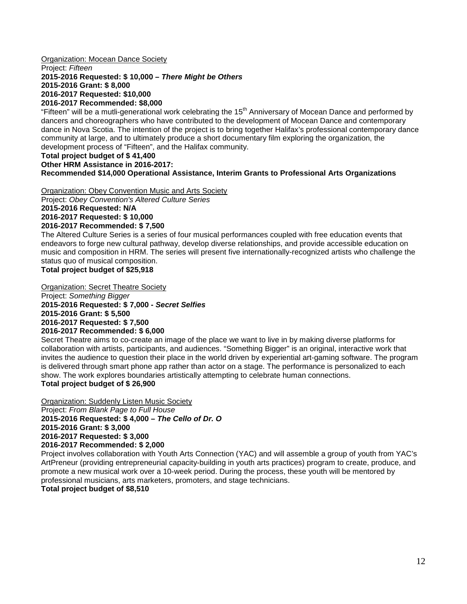# **Organization: Mocean Dance Society**

Project: *Fifteen*

# **2015-2016 Requested: \$ 10,000 –** *There Might be Others*

**2015-2016 Grant: \$ 8,000 2016-2017 Requested: \$10,000**

# **2016-2017 Recommended: \$8,000**

"Fifteen" will be a mutli-generational work celebrating the 15<sup>th</sup> Anniversary of Mocean Dance and performed by dancers and choreographers who have contributed to the development of Mocean Dance and contemporary dance in Nova Scotia. The intention of the project is to bring together Halifax's professional contemporary dance community at large, and to ultimately produce a short documentary film exploring the organization, the development process of "Fifteen", and the Halifax community.

# **Total project budget of \$ 41,400**

**Other HRM Assistance in 2016-2017:**

# **Recommended \$14,000 Operational Assistance, Interim Grants to Professional Arts Organizations**

Organization: Obey Convention Music and Arts Society Project: *Obey Convention's Altered Culture Series* **2015-2016 Requested: N/A 2016-2017 Requested: \$ 10,000**

# **2016-2017 Recommended: \$ 7,500**

The Altered Culture Series is a series of four musical performances coupled with free education events that endeavors to forge new cultural pathway, develop diverse relationships, and provide accessible education on music and composition in HRM. The series will present five internationally-recognized artists who challenge the status quo of musical composition.

# **Total project budget of \$25,918**

Organization: Secret Theatre Society Project: *Something Bigger* **2015-2016 Requested: \$ 7,000 -** *Secret Selfies* **2015-2016 Grant: \$ 5,500 2016-2017 Requested: \$ 7,500 2016-2017 Recommended: \$ 6,000**

Secret Theatre aims to co-create an image of the place we want to live in by making diverse platforms for collaboration with artists, participants, and audiences. "Something Bigger" is an original, interactive work that invites the audience to question their place in the world driven by experiential art-gaming software. The program is delivered through smart phone app rather than actor on a stage. The performance is personalized to each show. The work explores boundaries artistically attempting to celebrate human connections. **Total project budget of \$ 26,900**

Organization: Suddenly Listen Music Society

Project: *From Blank Page to Full House* **2015-2016 Requested: \$ 4,000 –** *The Cello of Dr. O* **2015-2016 Grant: \$ 3,000 2016-2017 Requested: \$ 3,000 2016-2017 Recommended: \$ 2,000**

Project involves collaboration with Youth Arts Connection (YAC) and will assemble a group of youth from YAC's ArtPreneur (providing entrepreneurial capacity-building in youth arts practices) program to create, produce, and promote a new musical work over a 10-week period. During the process, these youth will be mentored by professional musicians, arts marketers, promoters, and stage technicians.

# **Total project budget of \$8,510**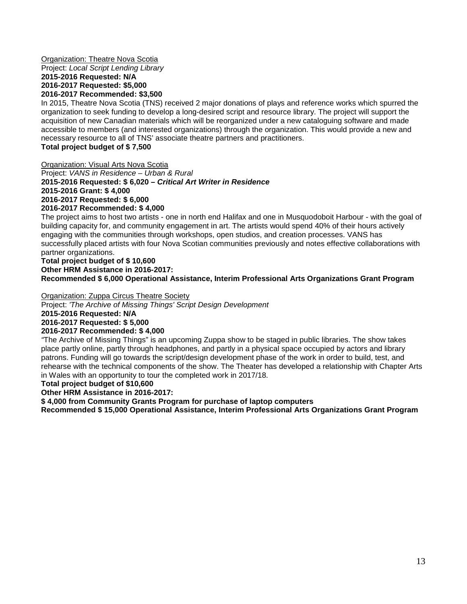#### **Organization: Theatre Nova Scotia** Project: *Local Script Lending Library* **2015-2016 Requested: N/A 2016-2017 Requested: \$5,000 2016-2017 Recommended: \$3,500**

In 2015, Theatre Nova Scotia (TNS) received 2 major donations of plays and reference works which spurred the organization to seek funding to develop a long-desired script and resource library. The project will support the acquisition of new Canadian materials which will be reorganized under a new cataloguing software and made accessible to members (and interested organizations) through the organization. This would provide a new and necessary resource to all of TNS' associate theatre partners and practitioners.

**Total project budget of \$ 7,500**

Organization: Visual Arts Nova Scotia

Project: *VANS in Residence – Urban & Rural* **2015-2016 Requested: \$ 6,020 –** *Critical Art Writer in Residence* **2015-2016 Grant: \$ 4,000 2016-2017 Requested: \$ 6,000 2016-2017 Recommended: \$ 4,000**

The project aims to host two artists - one in north end Halifax and one in Musquodoboit Harbour - with the goal of building capacity for, and community engagement in art. The artists would spend 40% of their hours actively engaging with the communities through workshops, open studios, and creation processes. VANS has successfully placed artists with four Nova Scotian communities previously and notes effective collaborations with partner organizations.

#### **Total project budget of \$ 10,600 Other HRM Assistance in 2016-2017: Recommended \$ 6,000 Operational Assistance, Interim Professional Arts Organizations Grant Program**

# Organization: Zuppa Circus Theatre Society

Project: *'The Archive of Missing Things' Script Design Development*

**2015-2016 Requested: N/A**

# **2016-2017 Requested: \$ 5,000**

# **2016-2017 Recommended: \$ 4,000**

*"*The Archive of Missing Things" is an upcoming Zuppa show to be staged in public libraries. The show takes place partly online, partly through headphones, and partly in a physical space occupied by actors and library patrons. Funding will go towards the script/design development phase of the work in order to build, test, and rehearse with the technical components of the show. The Theater has developed a relationship with Chapter Arts in Wales with an opportunity to tour the completed work in 2017/18.

# **Total project budget of \$10,600**

**Other HRM Assistance in 2016-2017:**

**\$ 4,000 from Community Grants Program for purchase of laptop computers**

**Recommended \$ 15,000 Operational Assistance, Interim Professional Arts Organizations Grant Program**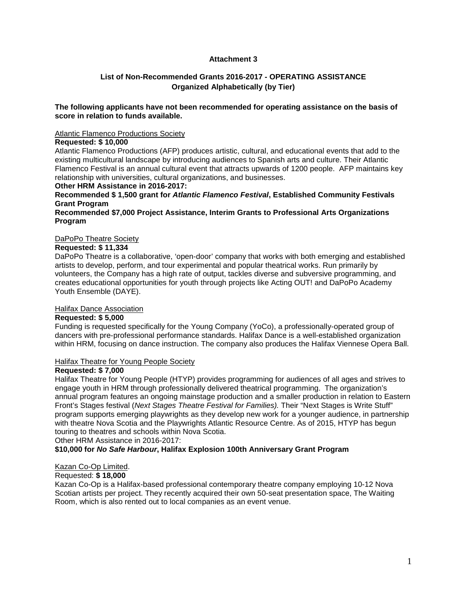# **Attachment 3**

# **List of Non-Recommended Grants 2016-2017 - OPERATING ASSISTANCE Organized Alphabetically (by Tier)**

#### **The following applicants have not been recommended for operating assistance on the basis of score in relation to funds available.**

#### Atlantic Flamenco Productions Society

#### **Requested: \$ 10,000**

Atlantic Flamenco Productions (AFP) produces artistic, cultural, and educational events that add to the existing multicultural landscape by introducing audiences to Spanish arts and culture. Their Atlantic Flamenco Festival is an annual cultural event that attracts upwards of 1200 people. AFP maintains key relationship with universities, cultural organizations, and businesses.

#### **Other HRM Assistance in 2016-2017:**

**Recommended \$ 1,500 grant for** *Atlantic Flamenco Festival***, Established Community Festivals Grant Program**

#### **Recommended \$7,000 Project Assistance, Interim Grants to Professional Arts Organizations Program**

#### DaPoPo Theatre Society

#### **Requested: \$ 11,334**

DaPoPo Theatre is a collaborative, 'open-door' company that works with both emerging and established artists to develop, perform, and tour experimental and popular theatrical works. Run primarily by volunteers, the Company has a high rate of output, tackles diverse and subversive programming, and creates educational opportunities for youth through projects like Acting OUT! and DaPoPo Academy Youth Ensemble (DAYE).

### Halifax Dance Association

#### **Requested: \$ 5,000**

Funding is requested specifically for the Young Company (YoCo), a professionally-operated group of dancers with pre-professional performance standards. Halifax Dance is a well-established organization within HRM, focusing on dance instruction. The company also produces the Halifax Viennese Opera Ball.

#### Halifax Theatre for Young People Society

#### **Requested: \$ 7,000**

Halifax Theatre for Young People (HTYP) provides programming for audiences of all ages and strives to engage youth in HRM through professionally delivered theatrical programming. The organization's annual program features an ongoing mainstage production and a smaller production in relation to Eastern Front's Stages festival (*Next Stages Theatre Festival for Families).* Their "Next Stages is Write Stuff" program supports emerging playwrights as they develop new work for a younger audience, in partnership with theatre Nova Scotia and the Playwrights Atlantic Resource Centre. As of 2015, HTYP has begun touring to theatres and schools within Nova Scotia.

Other HRM Assistance in 2016-2017:

#### **\$10,000 for** *No Safe Harbour***, Halifax Explosion 100th Anniversary Grant Program**

#### Kazan Co-Op Limited.

# Requested: **\$ 18,000**

Kazan Co-Op is a Halifax-based professional contemporary theatre company employing 10-12 Nova Scotian artists per project. They recently acquired their own 50-seat presentation space, The Waiting Room, which is also rented out to local companies as an event venue.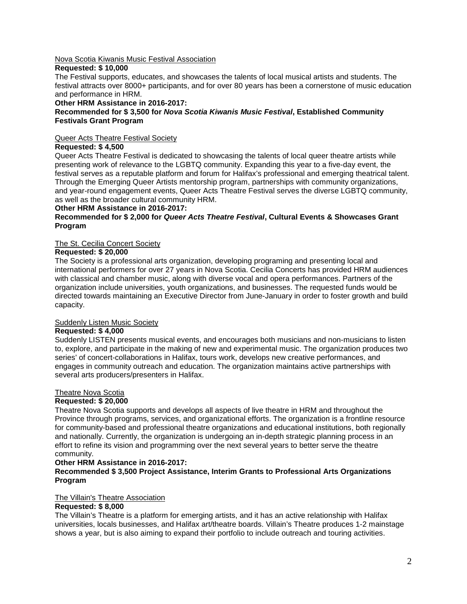#### Nova Scotia Kiwanis Music Festival Association

#### **Requested: \$ 10,000**

The Festival supports, educates, and showcases the talents of local musical artists and students. The festival attracts over 8000+ participants, and for over 80 years has been a cornerstone of music education and performance in HRM.

### **Other HRM Assistance in 2016-2017:**

# **Recommended for \$ 3,500 for** *Nova Scotia Kiwanis Music Festival***, Established Community Festivals Grant Program**

# Queer Acts Theatre Festival Society

# **Requested: \$ 4,500**

Queer Acts Theatre Festival is dedicated to showcasing the talents of local queer theatre artists while presenting work of relevance to the LGBTQ community. Expanding this year to a five-day event, the festival serves as a reputable platform and forum for Halifax's professional and emerging theatrical talent. Through the Emerging Queer Artists mentorship program, partnerships with community organizations, and year-round engagement events, Queer Acts Theatre Festival serves the diverse LGBTQ community, as well as the broader cultural community HRM.

# **Other HRM Assistance in 2016-2017:**

# **Recommended for \$ 2,000 for** *Queer Acts Theatre Festival***, Cultural Events & Showcases Grant Program**

# The St. Cecilia Concert Society

# **Requested: \$ 20,000**

The Society is a professional arts organization, developing programing and presenting local and international performers for over 27 years in Nova Scotia. Cecilia Concerts has provided HRM audiences with classical and chamber music, along with diverse vocal and opera performances. Partners of the organization include universities, youth organizations, and businesses. The requested funds would be directed towards maintaining an Executive Director from June-January in order to foster growth and build capacity.

# Suddenly Listen Music Society

# **Requested: \$ 4,000**

Suddenly LISTEN presents musical events, and encourages both musicians and non-musicians to listen to, explore, and participate in the making of new and experimental music. The organization produces two series' of concert-collaborations in Halifax, tours work, develops new creative performances, and engages in community outreach and education. The organization maintains active partnerships with several arts producers/presenters in Halifax.

#### Theatre Nova Scotia

#### **Requested: \$ 20,000**

Theatre Nova Scotia supports and develops all aspects of live theatre in HRM and throughout the Province through programs, services, and organizational efforts. The organization is a frontline resource for community-based and professional theatre organizations and educational institutions, both regionally and nationally. Currently, the organization is undergoing an in-depth strategic planning process in an effort to refine its vision and programming over the next several years to better serve the theatre community.

#### **Other HRM Assistance in 2016-2017:**

#### **Recommended \$ 3,500 Project Assistance, Interim Grants to Professional Arts Organizations Program**

#### The Villain's Theatre Association

# **Requested: \$ 8,000**

The Villain's Theatre is a platform for emerging artists, and it has an active relationship with Halifax universities, locals businesses, and Halifax art/theatre boards. Villain's Theatre produces 1-2 mainstage shows a year, but is also aiming to expand their portfolio to include outreach and touring activities.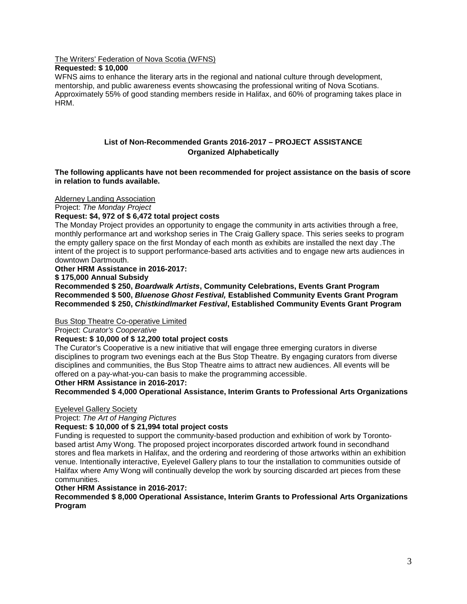The Writers' Federation of Nova Scotia (WFNS)

# **Requested: \$ 10,000**

WFNS aims to enhance the literary arts in the regional and national culture through development, mentorship, and public awareness events showcasing the professional writing of Nova Scotians. Approximately 55% of good standing members reside in Halifax, and 60% of programing takes place in HRM.

# **List of Non-Recommended Grants 2016-2017 – PROJECT ASSISTANCE Organized Alphabetically**

**The following applicants have not been recommended for project assistance on the basis of score in relation to funds available.** 

Alderney Landing Association

Project: *The Monday Project*

# **Request: \$4, 972 of \$ 6,472 total project costs**

The Monday Project provides an opportunity to engage the community in arts activities through a free, monthly performance art and workshop series in The Craig Gallery space. This series seeks to program the empty gallery space on the first Monday of each month as exhibits are installed the next day .The intent of the project is to support performance-based arts activities and to engage new arts audiences in downtown Dartmouth.

# **Other HRM Assistance in 2016-2017:**

**\$ 175,000 Annual Subsidy**

**Recommended \$ 250,** *Boardwalk Artists***, Community Celebrations, Events Grant Program Recommended \$ 500,** *Bluenose Ghost Festival,* **Established Community Events Grant Program Recommended \$ 250,** *Chistkindlmarket Festival***, Established Community Events Grant Program** 

#### Bus Stop Theatre Co-operative Limited

Project: *Curator's Cooperative*

# **Request: \$ 10,000 of \$ 12,200 total project costs**

The Curator's Cooperative is a new initiative that will engage three emerging curators in diverse disciplines to program two evenings each at the Bus Stop Theatre. By engaging curators from diverse disciplines and communities, the Bus Stop Theatre aims to attract new audiences. All events will be offered on a pay-what-you-can basis to make the programming accessible.

#### **Other HRM Assistance in 2016-2017:**

**Recommended \$ 4,000 Operational Assistance, Interim Grants to Professional Arts Organizations**

# Eyelevel Gallery Society

Project: *The Art of Hanging Pictures*

#### **Request: \$ 10,000 of \$ 21,994 total project costs**

Funding is requested to support the community-based production and exhibition of work by Torontobased artist Amy Wong. The proposed project incorporates discorded artwork found in secondhand stores and flea markets in Halifax, and the ordering and reordering of those artworks within an exhibition venue. Intentionally interactive, Eyelevel Gallery plans to tour the installation to communities outside of Halifax where Amy Wong will continually develop the work by sourcing discarded art pieces from these communities.

#### **Other HRM Assistance in 2016-2017:**

**Recommended \$ 8,000 Operational Assistance, Interim Grants to Professional Arts Organizations Program**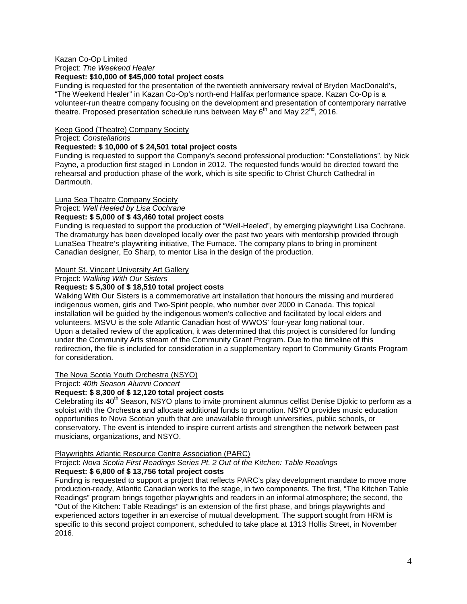#### Kazan Co-Op Limited

Project: *The Weekend Healer* 

#### **Request: \$10,000 of \$45,000 total project costs**

Funding is requested for the presentation of the twentieth anniversary revival of Bryden MacDonald's, "The Weekend Healer" in Kazan Co-Op's north-end Halifax performance space. Kazan Co-Op is a volunteer-run theatre company focusing on the development and presentation of contemporary narrative theatre. Proposed presentation schedule runs between May  $6^{th}$  and May 22<sup>nd</sup>, 2016.

# Keep Good (Theatre) Company Society

# Project: *Constellations*

### **Requested: \$ 10,000 of \$ 24,501 total project costs**

Funding is requested to support the Company's second professional production: "Constellations", by Nick Payne, a production first staged in London in 2012. The requested funds would be directed toward the rehearsal and production phase of the work, which is site specific to Christ Church Cathedral in Dartmouth.

# Luna Sea Theatre Company Society

Project: *Well Heeled by Lisa Cochrane*

# **Request: \$ 5,000 of \$ 43,460 total project costs**

Funding is requested to support the production of "Well-Heeled", by emerging playwright Lisa Cochrane. The dramaturgy has been developed locally over the past two years with mentorship provided through LunaSea Theatre's playwriting initiative, The Furnace. The company plans to bring in prominent Canadian designer, Eo Sharp, to mentor Lisa in the design of the production.

# Mount St. Vincent University Art Gallery

Project: *Walking With Our Sisters*

# **Request: \$ 5,300 of \$ 18,510 total project costs**

Walking With Our Sisters is a commemorative art installation that honours the missing and murdered indigenous women, girls and Two-Spirit people, who number over 2000 in Canada. This topical installation will be guided by the indigenous women's collective and facilitated by local elders and volunteers. MSVU is the sole Atlantic Canadian host of WWOS' four-year long national tour. Upon a detailed review of the application, it was determined that this project is considered for funding under the Community Arts stream of the Community Grant Program. Due to the timeline of this redirection, the file is included for consideration in a supplementary report to Community Grants Program for consideration.

The Nova Scotia Youth Orchestra (NSYO)

Project: *40th Season Alumni Concert*

# **Request: \$ 8,300 of \$ 12,120 total project costs**

Celebrating its 40<sup>th</sup> Season, NSYO plans to invite prominent alumnus cellist Denise Djokic to perform as a soloist with the Orchestra and allocate additional funds to promotion. NSYO provides music education opportunities to Nova Scotian youth that are unavailable through universities, public schools, or conservatory. The event is intended to inspire current artists and strengthen the network between past musicians, organizations, and NSYO.

# Playwrights Atlantic Resource Centre Association (PARC)

# Project: *Nova Scotia First Readings Series Pt. 2 Out of the Kitchen: Table Readings*

# **Request: \$ 6,800 of \$ 13,756 total project costs**

Funding is requested to support a project that reflects PARC's play development mandate to move more production-ready, Atlantic Canadian works to the stage, in two components. The first, "The Kitchen Table Readings" program brings together playwrights and readers in an informal atmosphere; the second, the "Out of the Kitchen: Table Readings" is an extension of the first phase, and brings playwrights and experienced actors together in an exercise of mutual development. The support sought from HRM is specific to this second project component, scheduled to take place at 1313 Hollis Street, in November 2016.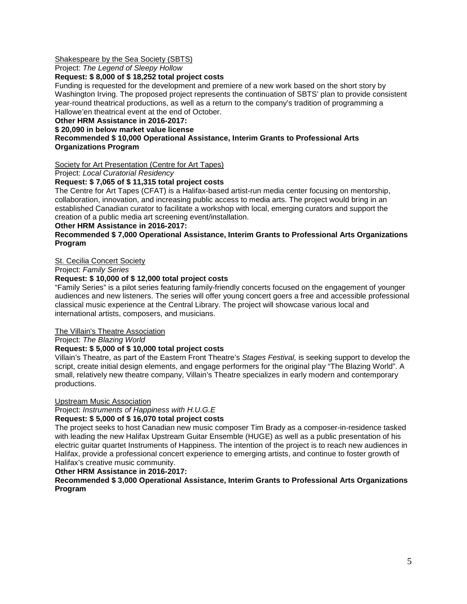# Shakespeare by the Sea Society (SBTS)

Project: *The Legend of Sleepy Hollow*

#### **Request: \$ 8,000 of \$ 18,252 total project costs**

Funding is requested for the development and premiere of a new work based on the short story by Washington Irving. The proposed project represents the continuation of SBTS' plan to provide consistent year-round theatrical productions, as well as a return to the company's tradition of programming a Hallowe'en theatrical event at the end of October.

### **Other HRM Assistance in 2016-2017:**

**\$ 20,090 in below market value license** 

# **Recommended \$ 10,000 Operational Assistance, Interim Grants to Professional Arts Organizations Program**

#### Society for Art Presentation (Centre for Art Tapes)

Project: *Local Curatorial Residency*

# **Request: \$ 7,065 of \$ 11,315 total project costs**

The Centre for Art Tapes (CFAT) is a Halifax-based artist-run media center focusing on mentorship, collaboration, innovation, and increasing public access to media arts. The project would bring in an established Canadian curator to facilitate a workshop with local, emerging curators and support the creation of a public media art screening event/installation.

#### **Other HRM Assistance in 2016-2017:**

# **Recommended \$ 7,000 Operational Assistance, Interim Grants to Professional Arts Organizations Program**

# St. Cecilia Concert Society

#### Project: *Family Series*

# **Request: \$ 10,000 of \$ 12,000 total project costs**

"Family Series" is a pilot series featuring family-friendly concerts focused on the engagement of younger audiences and new listeners. The series will offer young concert goers a free and accessible professional classical music experience at the Central Library. The project will showcase various local and international artists, composers, and musicians.

# The Villain's Theatre Association

Project: *The Blazing World*

# **Request: \$ 5,000 of \$ 10,000 total project costs**

Villain's Theatre, as part of the Eastern Front Theatre's *Stages Festival,* is seeking support to develop the script, create initial design elements, and engage performers for the original play "The Blazing World". A small, relatively new theatre company, Villain's Theatre specializes in early modern and contemporary productions.

#### Upstream Music Association

Project: *Instruments of Happiness with H.U.G.E*

# **Request: \$ 5,000 of \$ 16,070 total project costs**

The project seeks to host Canadian new music composer Tim Brady as a composer-in-residence tasked with leading the new Halifax Upstream Guitar Ensemble (HUGE) as well as a public presentation of his electric guitar quartet Instruments of Happiness. The intention of the project is to reach new audiences in Halifax, provide a professional concert experience to emerging artists, and continue to foster growth of Halifax's creative music community.

#### **Other HRM Assistance in 2016-2017:**

**Recommended \$ 3,000 Operational Assistance, Interim Grants to Professional Arts Organizations Program**